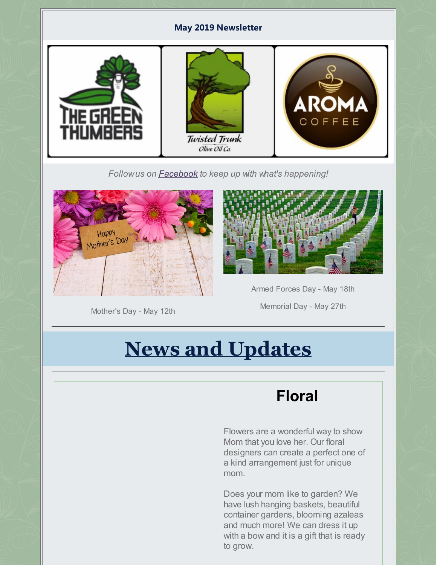#### **May 2019 Newsletter**



*Followus on [Facebook](https://www.facebook.com/thegreenthumbers/?rf=407299426138313) to keep up with what's happening!*



Mother's Day - May 12th



Armed Forces Day - May 18th

Memorial Day - May 27th

# **News and Updates**

# **Floral**

Flowers are a wonderful way to show Mom that you love her. Our floral designers can create a perfect one of a kind arrangement just for unique mom.

Does your mom like to garden? We have lush hanging baskets, beautiful container gardens, blooming azaleas and much more! We can dress it up with a bow and it is a gift that is ready to grow.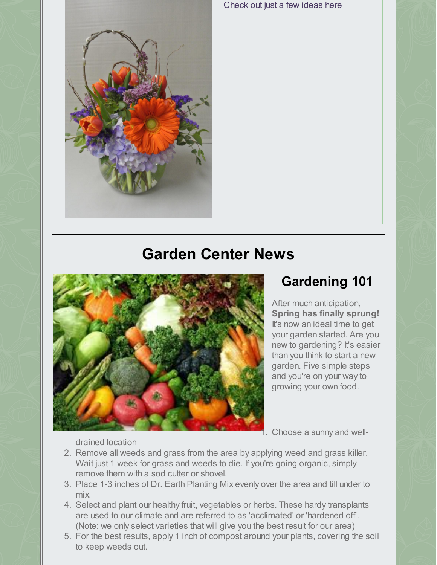

[Check](https://www.facebook.com/pg/thegreenthumbers/photos/?tab=album&album_id=10157326671703669) out just a few ideas here

## **Garden Center News**



## **Gardening 101**

After much anticipation, **Spring has finally sprung!** It's now an ideal time to get your garden started. Are you new to gardening? It's easier than you think to start a new garden. Five simple steps and you're on your way to growing your own food.

1. Choose a sunny and well-

drained location

- 2. Remove all weeds and grass from the area by applying weed and grass killer. Wait just 1 week for grass and weeds to die. If you're going organic, simply remove them with a sod cutter or shovel.
- 3. Place 1-3 inches of Dr. Earth Planting Mix evenly over the area and till under to mix.
- 4. Select and plant our healthy fruit, vegetables or herbs. These hardy transplants are used to our climate and are referred to as 'acclimated' or 'hardened off'. (Note: we only select varieties that will give you the best result for our area)
- 5. For the best results, apply 1 inch of compost around your plants, covering the soil to keep weeds out.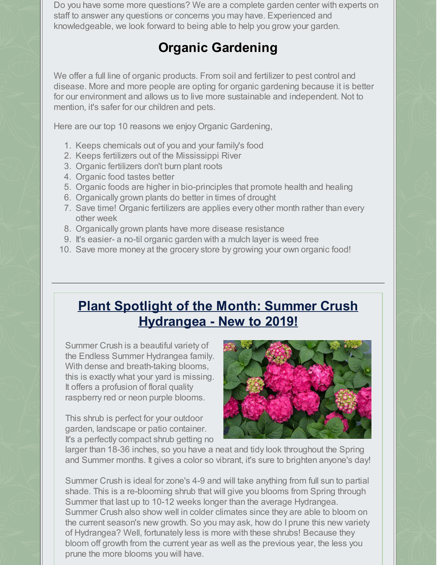Do you have some more questions? We are a complete garden center with experts on staff to answer any questions or concerns you may have. Experienced and knowledgeable, we look forward to being able to help you grow your garden.

## **Organic Gardening**

We offer a full line of organic products. From soil and fertilizer to pest control and disease. More and more people are opting for organic gardening because it is better for our environment and allows us to live more sustainable and independent. Not to mention, it's safer for our children and pets.

Here are our top 10 reasons we enjoy Organic Gardening,

- 1. Keeps chemicals out of you and your family's food
- 2. Keeps fertilizers out of the Mississippi River
- 3. Organic fertilizers don't burn plant roots
- 4. Organic food tastes better
- 5. Organic foods are higher in bio-principles that promote health and healing
- 6. Organically grown plants do better in times of drought
- 7. Save time! Organic fertilizers are applies every other month rather than every other week
- 8. Organically grown plants have more disease resistance
- 9. It's easier- a no-til organic garden with a mulch layer is weed free
- 10. Save more money at the grocery store by growing your own organic food!

## **Plant Spotlight of the Month: Summer Crush Hydrangea - New to 2019!**

Summer Crush is a beautiful variety of the Endless Summer Hydrangea family. With dense and breath-taking blooms, this is exactly what your yard is missing. It offers a profusion of floral quality raspberry red or neon purple blooms.

This shrub is perfect for your outdoor garden, landscape or patio container. It's a perfectly compact shrub getting no



larger than 18-36 inches, so you have a neat and tidy look throughout the Spring and Summer months. It gives a color so vibrant, it's sure to brighten anyone's day!

Summer Crush is ideal for zone's 4-9 and will take anything from full sun to partial shade. This is a re-blooming shrub that will give you blooms from Spring through Summer that last up to 10-12 weeks longer than the average Hydrangea. Summer Crush also show well in colder climates since they are able to bloom on the current season's new growth. So you may ask, how do I prune this new variety of Hydrangea? Well, fortunately less is more with these shrubs! Because they bloom off growth from the current year as well as the previous year, the less you prune the more blooms you will have.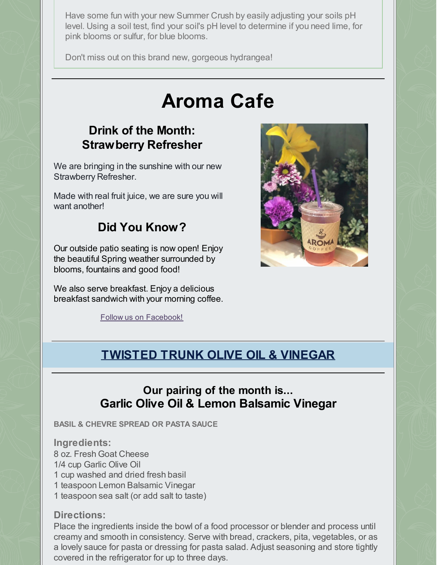Have some fun with your new Summer Crush by easily adjusting your soils pH level. Using a soil test, find your soil's pH level to determine if you need lime, for pink blooms or sulfur, for blue blooms.

Don't miss out on this brand new, gorgeous hydrangea!

# **Aroma Cafe**

#### **Drink of the Month: Strawberry Refresher**

We are bringing in the sunshine with our new Strawberry Refresher.

Made with real fruit juice, we are sure you will want another!

### **Did You Know?**

Our outside patio seating is now open! Enjoy the beautiful Spring weather surrounded by blooms, fountains and good food!

We also serve breakfast. Enjoy a delicious breakfast sandwich with your morning coffee.

Follow us on [Facebook!](https://www.facebook.com/aromacoffeeatthegreenthumbers/)



## **TWISTED TRUNK OLIVE OIL & VINEGAR**

#### **Our pairing of the month is... Garlic Olive Oil & Lemon Balsamic Vinegar**

**BASIL & CHEVRE SPREAD OR PASTA SAUCE**

**Ingredients:** 8 oz. Fresh Goat Cheese 1/4 cup Garlic Olive Oil 1 cup washed and dried fresh basil 1 teaspoon Lemon Balsamic Vinegar

1 teaspoon sea salt (or add salt to taste)

#### **Directions:**

Place the ingredients inside the bowl of a food processor or blender and process until creamy and smooth in consistency. Serve with bread, crackers, pita, vegetables, or as a lovely sauce for pasta or dressing for pasta salad. Adjust seasoning and store tightly covered in the refrigerator for up to three days.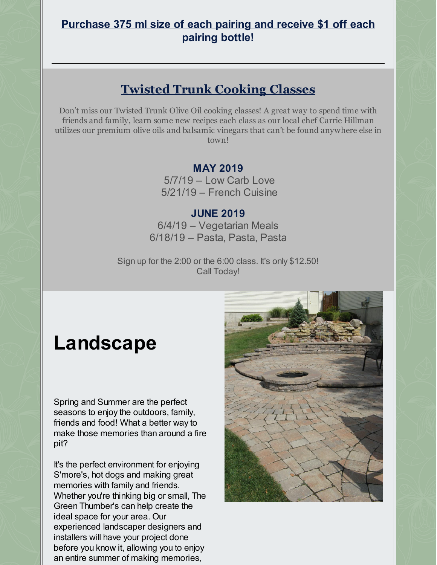#### **Purchase 375 ml size of each pairing and receive \$1 off each pairing bottle!**

## **Twisted Trunk Cooking Classes**

Don't miss our Twisted Trunk Olive Oil cooking classes! A great way to spend time with friends and family, learn some new recipes each class as our local chef Carrie Hillman utilizes our premium olive oils and balsamic vinegars that can't be found anywhere else in town!

#### **MAY 2019**

5/7/19 – Low Carb Love 5/21/19 – French Cuisine

#### **JUNE 2019**

6/4/19 – Vegetarian Meals 6/18/19 – Pasta, Pasta, Pasta

Sign up for the 2:00 or the 6:00 class. It's only \$12.50! Call Today!

# **Landscape**

Spring and Summer are the perfect seasons to enjoy the outdoors, family, friends and food! What a better way to make those memories than around a fire pit?

It's the perfect environment for enjoying S'more's, hot dogs and making great memories with family and friends. Whether you're thinking big or small, The Green Thumber's can help create the ideal space for your area. Our experienced landscaper designers and installers will have your project done before you know it, allowing you to enjoy an entire summer of making memories,